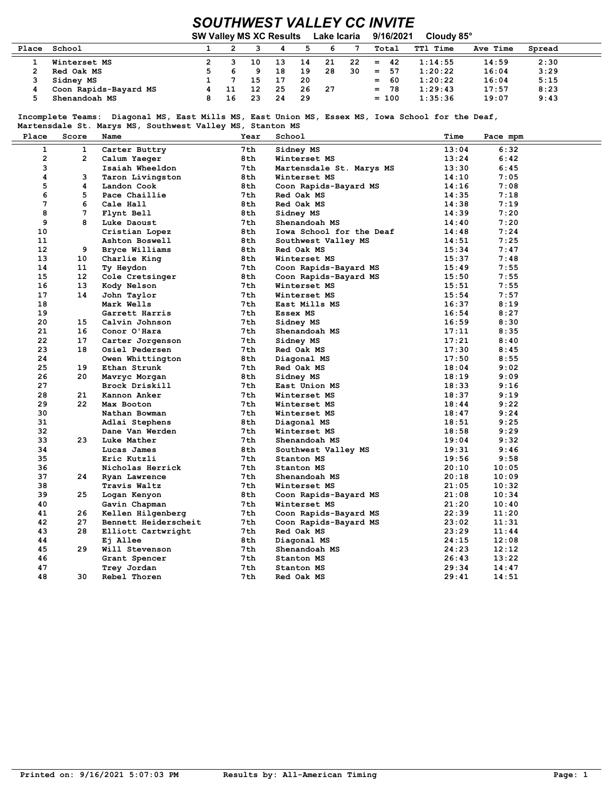## SOUTHWEST VALLEY CC INVITE

|       |                       | <b>SW Valley MS XC Results</b> |    |    |     | Lake Icaria |    | Cloudy 85°<br>9/16/2021 |                 |          |        |
|-------|-----------------------|--------------------------------|----|----|-----|-------------|----|-------------------------|-----------------|----------|--------|
| Place | School                |                                |    |    |     |             |    | Total                   | <b>TTl Time</b> | Ave Time | Spread |
|       | Winterset MS          |                                | 10 | 13 | 14  | 21          | 22 | 42<br>$=$               | 1:14:55         | 14:59    | 2:30   |
|       | Red Oak MS            |                                |    | 18 | 19  | 28          | 30 | $=$<br>57               | 1:20:22         | 16:04    | 3:29   |
|       | Sidney MS             |                                | 15 | 17 | -20 |             |    | -60<br>$=$              | 1:20:22         | 16:04    | 5:15   |
|       | Coon Rapids-Bayard MS | 11                             | 12 | 25 | 26  | -27         |    | $= 78$                  | 1:29:43         | 17:57    | 8:23   |
|       | Shenandoah MS         | 16                             | 23 | 24 | -29 |             |    | $= 100$                 | 1:35:36         | 19:07    | 9:43   |

 Incomplete Teams: Diagonal MS, East Mills MS, East Union MS, Essex MS, Iowa School for the Deaf, Martensdale St. Marys MS, Southwest Valley MS, Stanton MS

| Place           | Score           | Name                 | Year | School                   | Time  | Pace mpm |  |
|-----------------|-----------------|----------------------|------|--------------------------|-------|----------|--|
| $\mathbf{1}$    | $\mathbf{1}$    | Carter Buttry        | 7th  | Sidney MS                | 13:04 | 6:32     |  |
| $\mathbf{2}$    | $\overline{2}$  | Calum Yaeger         | 8th  | Winterset MS             | 13:24 | 6:42     |  |
| 3               |                 | Isaiah Wheeldon      | 7 th | Martensdale St. Marys MS | 13:30 | 6:45     |  |
| 4               | 3               | Taron Livingston     | 8 th | Winterset MS             | 14:10 | 7:05     |  |
| 5               | 4               | Landon Cook          | 8 th | Coon Rapids-Bayard MS    | 14:16 | 7:08     |  |
| 6               | 5               | Pace Chaillie        | 7th. | Red Oak MS               | 14:35 | 7:18     |  |
| 7               | 6               | Cale Hall            | 8 th | Red Oak MS               | 14:38 | 7:19     |  |
| 8               | 7               | Flynt Bell           | 8 th | Sidney MS                | 14:39 | 7:20     |  |
| 9               | 8               | Luke Daoust          | 7th. | Shenandoah MS            | 14:40 | 7:20     |  |
| 10              |                 | Cristian Lopez       | 8th  | Iowa School for the Deaf | 14:48 | 7:24     |  |
| 11              |                 | Ashton Boswell       | 8th  | Southwest Valley MS      | 14:51 | 7:25     |  |
| 12 <sup>2</sup> | 9               | Bryce Williams       | 8th  | Red Oak MS               | 15:34 | 7:47     |  |
| 13              | 10              | Charlie King         | 8th  | Winterset MS             | 15:37 | 7:48     |  |
| 14              | 11              | Ty Heydon            | 7 th | Coon Rapids-Bayard MS    | 15:49 | 7:55     |  |
| 15              | 12 <sup>°</sup> | Cole Cretsinger      | 8 th | Coon Rapids-Bayard MS    | 15:50 | 7:55     |  |
| 16              | 13              | Kody Nelson          | 7th. | Winterset MS             | 15:51 | 7:55     |  |
| 17              | 14              | John Taylor          | 7 th | Winterset MS             | 15:54 | 7:57     |  |
| 18              |                 | Mark Wells           | 7 th | East Mills MS            | 16:37 | 8:19     |  |
| 19              |                 | Garrett Harris       | 7th  | Essex MS                 | 16:54 | 8:27     |  |
| 20              | 15              | Calvin Johnson       | 7 th | Sidney MS                | 16:59 | 8:30     |  |
| 21              | 16              | Conor O'Hara         | 7th  | Shenandoah MS            | 17:11 | 8:35     |  |
| 22              | 17              | Carter Jorgenson     | 7th  | Sidney MS                | 17:21 | 8:40     |  |
| 23              | 18              | Osiel Pedersen       | 7th  | Red Oak MS               | 17:30 | 8:45     |  |
| 24              |                 | Owen Whittington     | 8 th | Diagonal MS              | 17:50 | 8:55     |  |
| 25              | 19              | Ethan Strunk         | 7 th | Red Oak MS               | 18:04 | 9:02     |  |
| 26              | 20              | Mavryc Morgan        | 8 th | Sidney MS                | 18:19 | 9:09     |  |
| 27              |                 | Brock Driskill       | 7 th | East Union MS            | 18:33 | 9:16     |  |
| 28              | 21              | Kannon Anker         | 7th. | Winterset MS             | 18:37 | 9:19     |  |
| 29              | 22              | Max Booton           | 7 th | Winterset MS             | 18:44 | 9:22     |  |
| 30              |                 | Nathan Bowman        | 7 th | Winterset MS             | 18:47 | 9:24     |  |
| 31              |                 | Adlai Stephens       | 8th  | Diagonal MS              | 18:51 | 9:25     |  |
| 32              |                 | Dane Van Werden      | 7th. | Winterset MS             | 18:58 | 9:29     |  |
| 33              | 23              | Luke Mather          | 7 th | Shenandoah MS            | 19:04 | 9:32     |  |
| 34              |                 | Lucas James          | 8th  | Southwest Valley MS      | 19:31 | 9:46     |  |
| 35              |                 | Eric Kutzli          | 7 th | Stanton MS               | 19:56 | 9:58     |  |
| 36              |                 | Nicholas Herrick     | 7 th | Stanton MS               | 20:10 | 10:05    |  |
| 37              | 24              | Ryan Lawrence        | 7 th | Shenandoah MS            | 20:18 | 10:09    |  |
| 38              |                 | Travis Waltz         | 7 th | Winterset MS             | 21:05 | 10:32    |  |
| 39              | 25              | Logan Kenyon         | 8th  | Coon Rapids-Bayard MS    | 21:08 | 10:34    |  |
| 40              |                 | Gavin Chapman        | 7 th | Winterset MS             | 21:20 | 10:40    |  |
| 41              | 26              | Kellen Hilgenberg    | 7 th | Coon Rapids-Bayard MS    | 22:39 | 11:20    |  |
| 42              | 27              | Bennett Heiderscheit | 7 th | Coon Rapids-Bayard MS    | 23:02 | 11:31    |  |
| 43              | 28              | Elliott Cartwright   | 7th. | Red Oak MS               | 23:29 | 11:44    |  |
| 44              |                 | Ej Allee             | 8 th | Diagonal MS              | 24:15 | 12:08    |  |
| 45              | 29              | Will Stevenson       | 7th  | Shenandoah MS            | 24:23 | 12:12    |  |
| 46              |                 | Grant Spencer        | 7 th | Stanton MS               | 26:43 | 13:22    |  |
| 47              |                 | Trey Jordan          | 7 th | Stanton MS               | 29:34 | 14:47    |  |
| 48              | 30              | Rebel Thoren         | 7 th | Red Oak MS               | 29:41 | 14:51    |  |